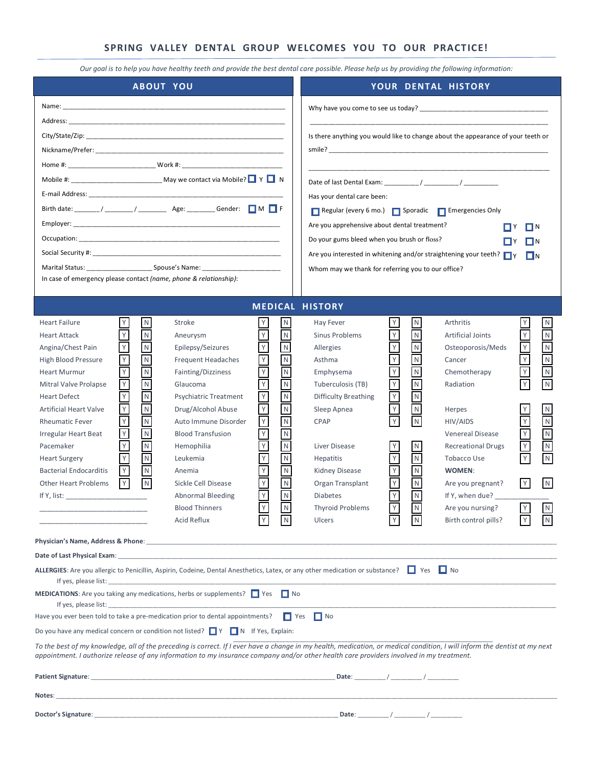#### **SPRING VALLEY DENTAL GROUP WELCOMES YOU TO OUR PRACTICE!**

*Our goal is to help you have healthy teeth and provide the best dental care possible. Please help us by providing the following information:*

| <b>ABOUT YOU</b>                                                                                                                                                                                                                                                                                                                                                                                                                                                                                                                                                                                                                                                                                                                                                                                                                                                                                                                                                                                                                                                                                                                                                                                                                                                                                                                                                                                                 | YOUR DENTAL HISTORY                                                                                                                                                                                                                                                                                                                                                                                                                                                                                                                                                                                                                                                                                                                                                                                                                                                                                                                                                                                                                                                                                                                                                                                                                                                                                                                                                                                                                |  |  |  |  |  |  |  |
|------------------------------------------------------------------------------------------------------------------------------------------------------------------------------------------------------------------------------------------------------------------------------------------------------------------------------------------------------------------------------------------------------------------------------------------------------------------------------------------------------------------------------------------------------------------------------------------------------------------------------------------------------------------------------------------------------------------------------------------------------------------------------------------------------------------------------------------------------------------------------------------------------------------------------------------------------------------------------------------------------------------------------------------------------------------------------------------------------------------------------------------------------------------------------------------------------------------------------------------------------------------------------------------------------------------------------------------------------------------------------------------------------------------|------------------------------------------------------------------------------------------------------------------------------------------------------------------------------------------------------------------------------------------------------------------------------------------------------------------------------------------------------------------------------------------------------------------------------------------------------------------------------------------------------------------------------------------------------------------------------------------------------------------------------------------------------------------------------------------------------------------------------------------------------------------------------------------------------------------------------------------------------------------------------------------------------------------------------------------------------------------------------------------------------------------------------------------------------------------------------------------------------------------------------------------------------------------------------------------------------------------------------------------------------------------------------------------------------------------------------------------------------------------------------------------------------------------------------------|--|--|--|--|--|--|--|
| City/State/Zip: the contract of the contract of the contract of the contract of the contract of the contract of the contract of the contract of the contract of the contract of the contract of the contract of the contract o<br>In case of emergency please contact (name, phone & relationship):                                                                                                                                                                                                                                                                                                                                                                                                                                                                                                                                                                                                                                                                                                                                                                                                                                                                                                                                                                                                                                                                                                              | Why have you come to see us today?<br>Is there anything you would like to change about the appearance of your teeth or<br>Has your dental care been:<br>Regular (every 6 mo.) Sporadic Femergencies Only<br>Are you apprehensive about dental treatment?<br>∏∏Y<br>ΠN<br>Do your gums bleed when you brush or floss?<br>I N<br>Are you interested in whitening and/or straightening your teeth? $\Box$ Y<br>$\Box N$<br>Whom may we thank for referring you to our office?                                                                                                                                                                                                                                                                                                                                                                                                                                                                                                                                                                                                                                                                                                                                                                                                                                                                                                                                                         |  |  |  |  |  |  |  |
| ${\sf N}$<br><b>Heart Failure</b><br>Stroke                                                                                                                                                                                                                                                                                                                                                                                                                                                                                                                                                                                                                                                                                                                                                                                                                                                                                                                                                                                                                                                                                                                                                                                                                                                                                                                                                                      | <b>MEDICAL HISTORY</b><br>${\sf N}$<br>${\sf N}$<br>Y<br>Hay Fever<br>Arthritis<br>N                                                                                                                                                                                                                                                                                                                                                                                                                                                                                                                                                                                                                                                                                                                                                                                                                                                                                                                                                                                                                                                                                                                                                                                                                                                                                                                                               |  |  |  |  |  |  |  |
| $\,$ N<br><b>Heart Attack</b><br>Aneurysm<br>$\overline{\mathsf{N}}$<br>Epilepsy/Seizures<br>Angina/Chest Pain<br>Y<br>${\sf N}$<br><b>Frequent Headaches</b><br>High Blood Pressure<br>$\overline{\mathsf{N}}$<br>Y<br>Y<br>Fainting/Dizziness<br><b>Heart Murmur</b><br>${\sf N}$<br>$\mathsf Y$<br>Υ<br>Mitral Valve Prolapse<br>Glaucoma<br>$\mathsf Y$<br>$\overline{\mathsf{Y}}$<br>$\overline{\mathsf{N}}$<br><b>Heart Defect</b><br><b>Psychiatric Treatment</b><br>$\mathsf Y$<br>$\overline{N}$<br>Υ<br>Drug/Alcohol Abuse<br><b>Artificial Heart Valve</b><br>$\mathsf{Y}$<br>$\hbox{N}$<br>Auto Immune Disorder<br><b>Rheumatic Fever</b><br>${\sf N}$<br>Y<br><b>Blood Transfusion</b><br>Irregular Heart Beat<br>$\mathsf Y$<br>$\overline{\mathsf{N}}$<br>Pacemaker<br>Hemophilia<br>Y<br>${\sf N}$<br><b>Heart Surgery</b><br>Leukemia<br>$\sf N$<br>$\mathsf{Y}$<br><b>Bacterial Endocarditis</b><br>Anemia<br>N<br>Y<br><b>Other Heart Problems</b><br>Sickle Cell Disease<br>Y<br><b>Abnormal Bleeding</b><br>If Y, list: $\frac{1}{2}$<br><b>Blood Thinners</b><br>Acid Reflux                                                                                                                                                                                                                                                                                                               | ${\sf N}$<br>$\mathsf{N}$<br>$\mathsf Y$<br>${\sf N}$<br>Sinus Problems<br><b>Artificial Joints</b><br>$\frac{N}{N}$<br>$\mathsf{Y}$<br>${\sf N}$<br>$\mathsf{N}$<br>Allergies<br>Osteoporosis/Meds<br>$\overline{\mathsf{Y}}$<br>$\overline{\mathsf{Y}}$<br>${\sf N}$<br>${\sf N}$<br>Asthma<br>Cancer<br>$\mathsf N$<br>$\overline{\mathsf{N}}$<br>$\mathsf Y$<br>$\overline{\mathsf{N}}$<br>Emphysema<br>Chemotherapy<br>$\overline{\mathsf{N}}$<br>$\mathsf Y$<br>$\overline{N}$<br>Y<br>N<br>Tuberculosis (TB)<br>Radiation<br>$\mathsf Y$<br>$\overline{\mathsf{N}}$<br>$\overline{\mathsf{N}}$<br><b>Difficulty Breathing</b><br>$\overline{\mathsf{N}}$<br>Y<br>${\sf N}$<br>Sleep Apnea<br>Herpes<br>${\sf N}$<br>${\sf N}$<br>$\mathsf Y$<br>$\hbox{N}$<br>${\sf N}$<br><b>CPAP</b><br>HIV/AIDS<br>$\hbox{N}$<br>$\mathsf Y$<br>${\sf N}$<br><b>Venereal Disease</b><br>${\sf N}$<br>$\mathsf Y$<br>$\overline{\mathsf{N}}$<br><b>Recreational Drugs</b><br>Liver Disease<br>N<br>$\hbox{N}$<br>$\mathsf Y$<br>Y<br>${\sf N}$<br><b>Hepatitis</b><br>Tobacco Use<br>${\sf N}$<br>${\sf N}$<br>Kidney Disease<br>WOMEN:<br>$\overline{N}$<br>$\mathsf Y$<br>Y<br>$\lfloor N \rfloor$<br>Organ Transplant<br>Are you pregnant?<br>$\mathsf Y$<br>$\overline{N}$<br>${\sf N}$<br><b>Diabetes</b><br>If Y, when due?<br>V<br>$\overline{M}$<br><b>Thyroid Problems</b><br>Are you nursing?<br>Ulcers<br>Birth control pills? |  |  |  |  |  |  |  |
| Date of Last Physical Exam: Notified the state of the state of the state of the state of Last Physical Exam:                                                                                                                                                                                                                                                                                                                                                                                                                                                                                                                                                                                                                                                                                                                                                                                                                                                                                                                                                                                                                                                                                                                                                                                                                                                                                                     |                                                                                                                                                                                                                                                                                                                                                                                                                                                                                                                                                                                                                                                                                                                                                                                                                                                                                                                                                                                                                                                                                                                                                                                                                                                                                                                                                                                                                                    |  |  |  |  |  |  |  |
| ALLERGIES: Are you allergic to Penicillin, Aspirin, Codeine, Dental Anesthetics, Latex, or any other medication or substance? $\Box$ Yes $\Box$ No<br><b>MEDICATIONS:</b> Are you taking any medications, herbs or supplements? $\Box$ Yes $\Box$ No<br>If yes, please list: the contract of the contract of the contract of the contract of the contract of the contract of the contract of the contract of the contract of the contract of the contract of the contract of the contr<br>Have you ever been told to take a pre-medication prior to dental appointments?<br>$\Box$ Yes<br>$\Box$ No<br>Do you have any medical concern or condition not listed? $\Box Y$ $\Box N$ If Yes, Explain:<br>To the best of my knowledge, all of the preceding is correct. If I ever have a change in my health, medication, or medical condition, I will inform the dentist at my next<br>appointment. I authorize release of any information to my insurance company and/or other health care providers involved in my treatment.<br>Patient Signature: the contract of the contract of the contract of the contract of the contract of the contract of the contract of the contract of the contract of the contract of the contract of the contract of the contrac<br>Date: $/$ /<br><u> 1989 - Johann Harry Harry Harry Harry Harry Harry Harry Harry Harry Harry Harry Harry Harry Harry Harry Harry</u><br>Notes: |                                                                                                                                                                                                                                                                                                                                                                                                                                                                                                                                                                                                                                                                                                                                                                                                                                                                                                                                                                                                                                                                                                                                                                                                                                                                                                                                                                                                                                    |  |  |  |  |  |  |  |
|                                                                                                                                                                                                                                                                                                                                                                                                                                                                                                                                                                                                                                                                                                                                                                                                                                                                                                                                                                                                                                                                                                                                                                                                                                                                                                                                                                                                                  |                                                                                                                                                                                                                                                                                                                                                                                                                                                                                                                                                                                                                                                                                                                                                                                                                                                                                                                                                                                                                                                                                                                                                                                                                                                                                                                                                                                                                                    |  |  |  |  |  |  |  |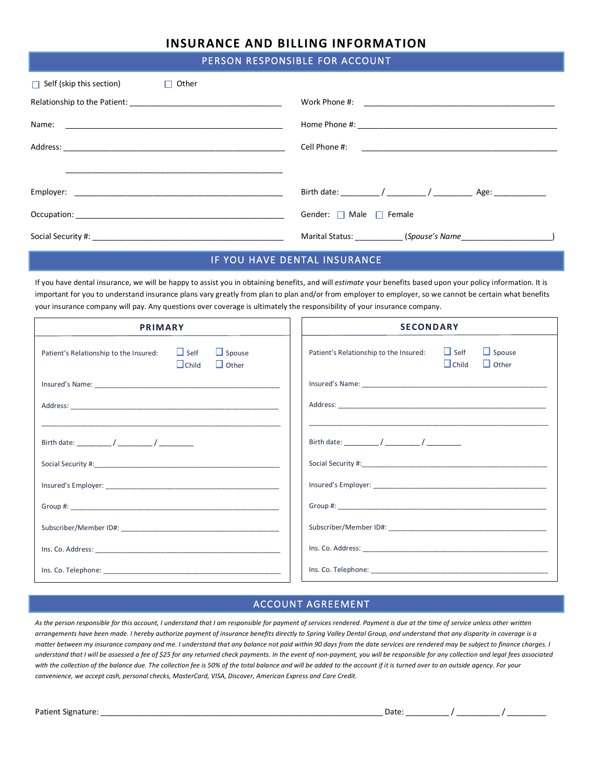# **INSURANCE AND BILLING INFORMATION**

#### PERSON RESPONSIBLE FOR ACCOUNT

| $\Box$ Self (skip this section)<br>Other<br>$\Box$                                                                                                                                                                             |                                   |
|--------------------------------------------------------------------------------------------------------------------------------------------------------------------------------------------------------------------------------|-----------------------------------|
|                                                                                                                                                                                                                                |                                   |
| Name:                                                                                                                                                                                                                          |                                   |
|                                                                                                                                                                                                                                |                                   |
|                                                                                                                                                                                                                                |                                   |
| Employer: the contract of the contract of the contract of the contract of the contract of the contract of the contract of the contract of the contract of the contract of the contract of the contract of the contract of the  |                                   |
| Occupation: the contract of the contract of the contract of the contract of the contract of the contract of the contract of the contract of the contract of the contract of the contract of the contract of the contract of th | Gender: $\Box$ Male $\Box$ Female |
|                                                                                                                                                                                                                                |                                   |

#### IF YOU HAVE DENTAL INSURANCE

If you have dental insurance, we will be happy to assist you in obtaining benefits, and will *estimate* your benefits based upon your policy information. It is important for you to understand insurance plans vary greatly from plan to plan and/or from employer to employer, so we cannot be certain what benefits your insurance company will pay. Any questions over coverage is ultimately the responsibility of your insurance company.

| <b>PRIMARY</b>                         |                             | <b>SECONDARY</b>              |                                                                                                                                                                                                                                |                             |                               |
|----------------------------------------|-----------------------------|-------------------------------|--------------------------------------------------------------------------------------------------------------------------------------------------------------------------------------------------------------------------------|-----------------------------|-------------------------------|
| Patient's Relationship to the Insured: | $\Box$ Self<br>$\Box$ Child | $\Box$ Spouse<br>$\Box$ Other | Patient's Relationship to the Insured:                                                                                                                                                                                         | $\Box$ Self<br>$\Box$ Child | $\Box$ Spouse<br>$\Box$ Other |
|                                        |                             |                               |                                                                                                                                                                                                                                |                             |                               |
|                                        |                             |                               |                                                                                                                                                                                                                                |                             |                               |
|                                        |                             |                               |                                                                                                                                                                                                                                |                             |                               |
|                                        |                             |                               |                                                                                                                                                                                                                                |                             |                               |
|                                        |                             |                               | Social Security #: experience of the second security and security and security and security and security and security and second security and security and security and security and security and security and security and se |                             |                               |
|                                        |                             |                               |                                                                                                                                                                                                                                |                             |                               |
|                                        |                             |                               |                                                                                                                                                                                                                                |                             |                               |
|                                        |                             |                               |                                                                                                                                                                                                                                |                             |                               |
|                                        |                             |                               |                                                                                                                                                                                                                                |                             |                               |
|                                        |                             |                               |                                                                                                                                                                                                                                |                             |                               |

# ACCOUNT AGREEMENT

*As the person responsible for this account, I understand that I am responsible for payment of services rendered. Payment is due at the time of service unless other written arrangements have been made. I hereby authorize payment of insurance benefits directly to Spring Valley Dental Group, and understand that any disparity in coverage is a matter between my insurance company and me. I understand that any balance not paid within 90 days from the date services are rendered may be subject to finance charges. I understand that I will be assessed a fee of \$25 for any returned check payments. In the event of non-payment, you will be responsible for any collection and legal fees associated*  with the collection of the balance due. The collection fee is 50% of the total balance and will be added to the account if it is turned over to an outside agency. For your *convenience, we accept cash, personal checks, MasterCard, VISA, Discover, American Express and Care Credit.*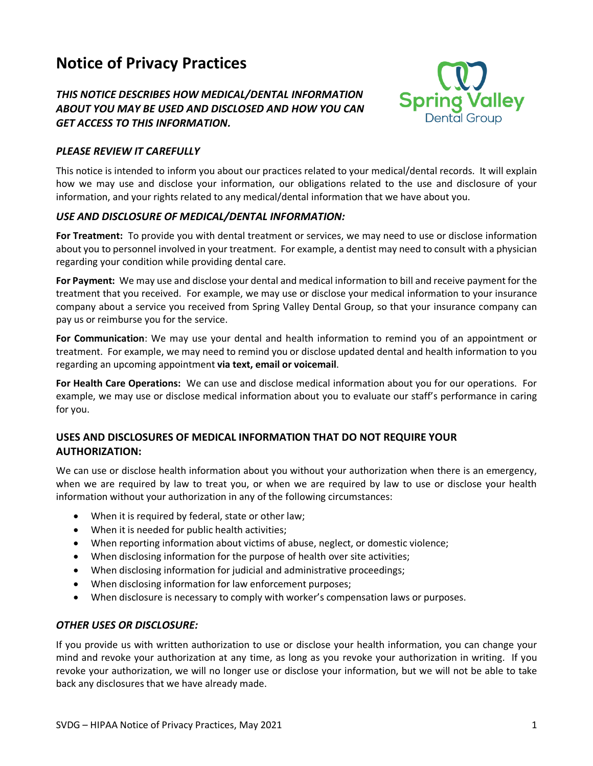# **Notice of Privacy Practices**

# *THIS NOTICE DESCRIBES HOW MEDICAL/DENTAL INFORMATION ABOUT YOU MAY BE USED AND DISCLOSED AND HOW YOU CAN GET ACCESS TO THIS INFORMATION.*



#### *PLEASE REVIEW IT CAREFULLY*

This notice is intended to inform you about our practices related to your medical/dental records. It will explain how we may use and disclose your information, our obligations related to the use and disclosure of your information, and your rights related to any medical/dental information that we have about you.

### *USE AND DISCLOSURE OF MEDICAL/DENTAL INFORMATION:*

**For Treatment:** To provide you with dental treatment or services, we may need to use or disclose information about you to personnel involved in your treatment. For example, a dentist may need to consult with a physician regarding your condition while providing dental care.

**For Payment:** We may use and disclose your dental and medical information to bill and receive payment for the treatment that you received. For example, we may use or disclose your medical information to your insurance company about a service you received from Spring Valley Dental Group, so that your insurance company can pay us or reimburse you for the service.

**For Communication**: We may use your dental and health information to remind you of an appointment or treatment. For example, we may need to remind you or disclose updated dental and health information to you regarding an upcoming appointment **via text, email or voicemail**.

**For Health Care Operations:** We can use and disclose medical information about you for our operations. For example, we may use or disclose medical information about you to evaluate our staff's performance in caring for you.

# **USES AND DISCLOSURES OF MEDICAL INFORMATION THAT DO NOT REQUIRE YOUR AUTHORIZATION:**

We can use or disclose health information about you without your authorization when there is an emergency, when we are required by law to treat you, or when we are required by law to use or disclose your health information without your authorization in any of the following circumstances:

- When it is required by federal, state or other law;
- When it is needed for public health activities;
- When reporting information about victims of abuse, neglect, or domestic violence;
- When disclosing information for the purpose of health over site activities;
- When disclosing information for judicial and administrative proceedings;
- When disclosing information for law enforcement purposes;
- When disclosure is necessary to comply with worker's compensation laws or purposes.

#### *OTHER USES OR DISCLOSURE:*

If you provide us with written authorization to use or disclose your health information, you can change your mind and revoke your authorization at any time, as long as you revoke your authorization in writing. If you revoke your authorization, we will no longer use or disclose your information, but we will not be able to take back any disclosures that we have already made.